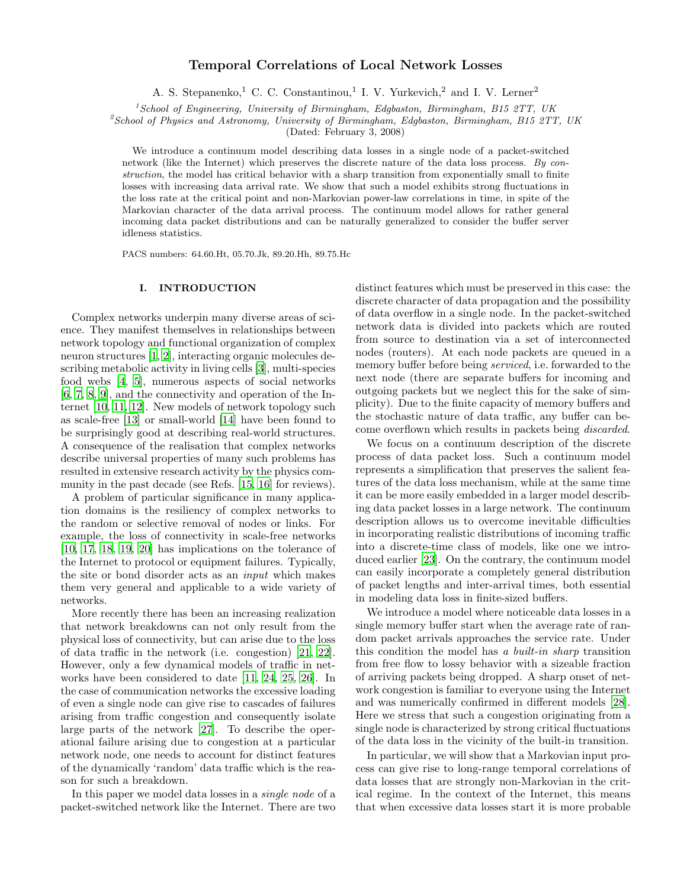# Temporal Correlations of Local Network Losses

A. S. Stepanenko,<sup>1</sup> C. C. Constantinou,<sup>1</sup> I. V. Yurkevich,<sup>2</sup> and I. V. Lerner<sup>2</sup>

<sup>1</sup>*School of Engineering, University of Birmingham, Edgbaston, Birmingham, B15 2TT, UK*

<sup>2</sup>*School of Physics and Astronomy, University of Birmingham, Edgbaston, Birmingham, B15 2TT, UK*

(Dated: February 3, 2008)

We introduce a continuum model describing data losses in a single node of a packet-switched network (like the Internet) which preserves the discrete nature of the data loss process. *By construction*, the model has critical behavior with a sharp transition from exponentially small to finite losses with increasing data arrival rate. We show that such a model exhibits strong fluctuations in the loss rate at the critical point and non-Markovian power-law correlations in time, in spite of the Markovian character of the data arrival process. The continuum model allows for rather general incoming data packet distributions and can be naturally generalized to consider the buffer server idleness statistics.

PACS numbers: 64.60.Ht, 05.70.Jk, 89.20.Hh, 89.75.Hc

### I. INTRODUCTION

Complex networks underpin many diverse areas of science. They manifest themselves in relationships between network topology and functional organization of complex neuron structures [\[1,](#page-5-0) [2](#page-5-1)], interacting organic molecules describing metabolic activity in living cells [\[3](#page-5-2)], multi-species food webs [\[4,](#page-5-3) [5\]](#page-5-4), numerous aspects of social networks [\[6,](#page-5-5) [7,](#page-5-6) [8,](#page-5-7) [9](#page-5-8)], and the connectivity and operation of the Internet [\[10,](#page-5-9) [11](#page-5-10), [12\]](#page-5-11). New models of network topology such as scale-free [\[13\]](#page-5-12) or small-world [\[14](#page-5-13)] have been found to be surprisingly good at describing real-world structures. A consequence of the realisation that complex networks describe universal properties of many such problems has resulted in extensive research activity by the physics community in the past decade (see Refs. [\[15,](#page-5-14) [16](#page-5-15)] for reviews).

A problem of particular significance in many application domains is the resiliency of complex networks to the random or selective removal of nodes or links. For example, the loss of connectivity in scale-free networks [\[10,](#page-5-9) [17,](#page-5-16) [18](#page-5-17), [19](#page-5-18), [20\]](#page-5-19) has implications on the tolerance of the Internet to protocol or equipment failures. Typically, the site or bond disorder acts as an input which makes them very general and applicable to a wide variety of networks.

More recently there has been an increasing realization that network breakdowns can not only result from the physical loss of connectivity, but can arise due to the loss of data traffic in the network (i.e. congestion) [\[21,](#page-5-20) [22\]](#page-5-21). However, only a few dynamical models of traffic in networks have been considered to date [\[11](#page-5-10), [24,](#page-5-22) [25,](#page-5-23) [26](#page-5-24)]. In the case of communication networks the excessive loading of even a single node can give rise to cascades of failures arising from traffic congestion and consequently isolate large parts of the network [\[27](#page-5-25)]. To describe the operational failure arising due to congestion at a particular network node, one needs to account for distinct features of the dynamically 'random' data traffic which is the reason for such a breakdown.

In this paper we model data losses in a single node of a packet-switched network like the Internet. There are two

distinct features which must be preserved in this case: the discrete character of data propagation and the possibility of data overflow in a single node. In the packet-switched network data is divided into packets which are routed from source to destination via a set of interconnected nodes (routers). At each node packets are queued in a memory buffer before being serviced, i.e. forwarded to the next node (there are separate buffers for incoming and outgoing packets but we neglect this for the sake of simplicity). Due to the finite capacity of memory buffers and the stochastic nature of data traffic, any buffer can become overflown which results in packets being discarded.

We focus on a continuum description of the discrete process of data packet loss. Such a continuum model represents a simplification that preserves the salient features of the data loss mechanism, while at the same time it can be more easily embedded in a larger model describing data packet losses in a large network. The continuum description allows us to overcome inevitable difficulties in incorporating realistic distributions of incoming traffic into a discrete-time class of models, like one we introduced earlier [\[23\]](#page-5-26). On the contrary, the continuum model can easily incorporate a completely general distribution of packet lengths and inter-arrival times, both essential in modeling data loss in finite-sized buffers.

We introduce a model where noticeable data losses in a single memory buffer start when the average rate of random packet arrivals approaches the service rate. Under this condition the model has a built-in sharp transition from free flow to lossy behavior with a sizeable fraction of arriving packets being dropped. A sharp onset of network congestion is familiar to everyone using the Internet and was numerically confirmed in different models [\[28\]](#page-5-27). Here we stress that such a congestion originating from a single node is characterized by strong critical fluctuations of the data loss in the vicinity of the built-in transition.

In particular, we will show that a Markovian input process can give rise to long-range temporal correlations of data losses that are strongly non-Markovian in the critical regime. In the context of the Internet, this means that when excessive data losses start it is more probable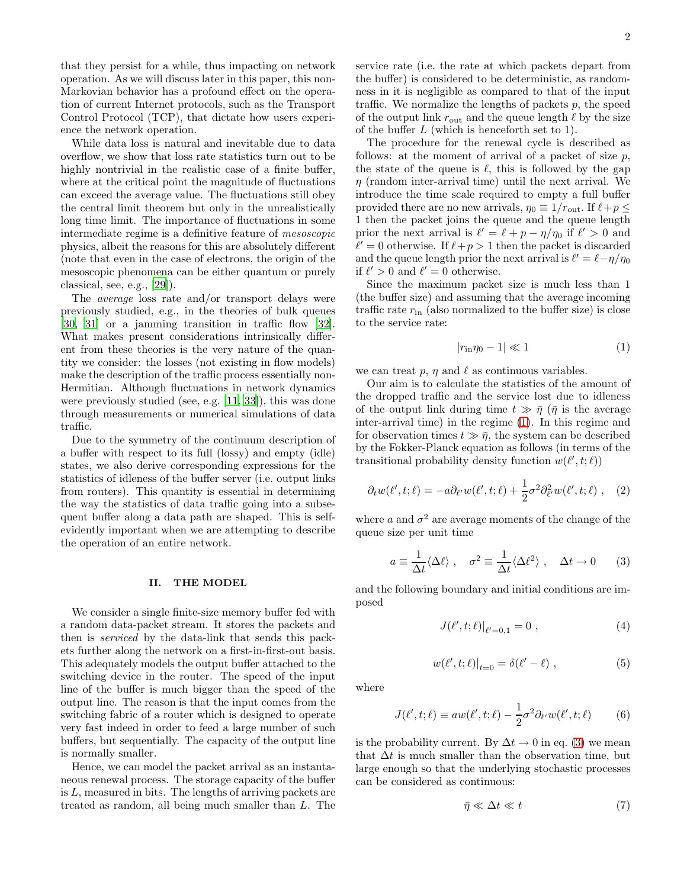that they persist for a while, thus impacting on network operation. As we will discuss later in this paper, this non-Markovian behavior has a profound effect on the operation of current Internet protocols, such as the Transport Control Protocol (TCP), that dictate how users experience the network operation.

While data loss is natural and inevitable due to data overflow, we show that loss rate statistics turn out to be highly nontrivial in the realistic case of a finite buffer, where at the critical point the magnitude of fluctuations can exceed the average value. The fluctuations still obey the central limit theorem but only in the unrealistically long time limit. The importance of fluctuations in some intermediate regime is a definitive feature of mesoscopic physics, albeit the reasons for this are absolutely different (note that even in the case of electrons, the origin of the mesoscopic phenomena can be either quantum or purely classical, see, e.g., [\[29\]](#page-5-28)).

The average loss rate and/or transport delays were previously studied, e.g., in the theories of bulk queues [\[30,](#page-5-29) [31\]](#page-5-30) or a jamming transition in traffic flow [\[32\]](#page-5-31). What makes present considerations intrinsically different from these theories is the very nature of the quantity we consider: the losses (not existing in flow models) make the description of the traffic process essentially non-Hermitian. Although fluctuations in network dynamics were previously studied (see, e.g. [\[11](#page-5-10), [33](#page-5-32)]), this was done through measurements or numerical simulations of data traffic.

Due to the symmetry of the continuum description of a buffer with respect to its full (lossy) and empty (idle) states, we also derive corresponding expressions for the statistics of idleness of the buffer server (i.e. output links from routers). This quantity is essential in determining the way the statistics of data traffic going into a subsequent buffer along a data path are shaped. This is selfevidently important when we are attempting to describe the operation of an entire network.

### II. THE MODEL

We consider a single finite-size memory buffer fed with a random data-packet stream. It stores the packets and then is serviced by the data-link that sends this packets further along the network on a first-in-first-out basis. This adequately models the output buffer attached to the switching device in the router. The speed of the input line of the buffer is much bigger than the speed of the output line. The reason is that the input comes from the switching fabric of a router which is designed to operate very fast indeed in order to feed a large number of such buffers, but sequentially. The capacity of the output line is normally smaller.

Hence, we can model the packet arrival as an instantaneous renewal process. The storage capacity of the buffer is L, measured in bits. The lengths of arriving packets are treated as random, all being much smaller than L. The

service rate (i.e. the rate at which packets depart from the buffer) is considered to be deterministic, as randomness in it is negligible as compared to that of the input traffic. We normalize the lengths of packets  $p$ , the speed of the output link  $r_{\text{out}}$  and the queue length  $\ell$  by the size of the buffer  $L$  (which is henceforth set to 1).

The procedure for the renewal cycle is described as follows: at the moment of arrival of a packet of size  $p$ , the state of the queue is  $\ell$ , this is followed by the gap  $\eta$  (random inter-arrival time) until the next arrival. We introduce the time scale required to empty a full buffer provided there are no new arrivals,  $\eta_0 \equiv 1/r_{\rm out}$ . If  $\ell + p \leq$ 1 then the packet joins the queue and the queue length prior the next arrival is  $\ell' = \ell + p - \eta/\eta_0$  if  $\ell' > 0$  and  $\ell' = 0$  otherwise. If  $\ell + p > 1$  then the packet is discarded and the queue length prior the next arrival is  $\ell' = \ell - \eta/\eta_0$ if  $\ell' > 0$  and  $\ell' = 0$  otherwise.

Since the maximum packet size is much less than 1 (the buffer size) and assuming that the average incoming traffic rate  $r_{\text{in}}$  (also normalized to the buffer size) is close to the service rate:

<span id="page-1-0"></span>
$$
|r_{\rm in}\eta_0 - 1| \ll 1\tag{1}
$$

we can treat  $p, \eta$  and  $\ell$  as continuous variables.

Our aim is to calculate the statistics of the amount of the dropped traffic and the service lost due to idleness of the output link during time  $t \gg \bar{\eta}$  ( $\bar{\eta}$  is the average inter-arrival time) in the regime [\(1\)](#page-1-0). In this regime and for observation times  $t \gg \bar{\eta}$ , the system can be described by the Fokker-Planck equation as follows (in terms of the transitional probability density function  $w(\ell', t; \ell)$ 

<span id="page-1-2"></span>
$$
\partial_t w(\ell', t; \ell) = -a \partial_{\ell'} w(\ell', t; \ell) + \frac{1}{2} \sigma^2 \partial_{\ell'}^2 w(\ell', t; \ell) , \quad (2)
$$

where a and  $\sigma^2$  are average moments of the change of the queue size per unit time

<span id="page-1-1"></span>
$$
a \equiv \frac{1}{\Delta t} \langle \Delta \ell \rangle \ , \quad \sigma^2 \equiv \frac{1}{\Delta t} \langle \Delta \ell^2 \rangle \ , \quad \Delta t \to 0 \quad (3)
$$

and the following boundary and initial conditions are imposed

<span id="page-1-3"></span>
$$
J(\ell', t; \ell)|_{\ell'=0,1} = 0 , \qquad (4)
$$

<span id="page-1-4"></span>
$$
w(\ell',t;\ell)|_{t=0} = \delta(\ell'-\ell) , \qquad (5)
$$

where

$$
J(\ell', t; \ell) \equiv aw(\ell', t; \ell) - \frac{1}{2}\sigma^2 \partial_{\ell'} w(\ell', t; \ell)
$$
 (6)

is the probability current. By  $\Delta t \rightarrow 0$  in eq. [\(3\)](#page-1-1) we mean that  $\Delta t$  is much smaller than the observation time, but large enough so that the underlying stochastic processes can be considered as continuous:

$$
\bar{\eta} \ll \Delta t \ll t \tag{7}
$$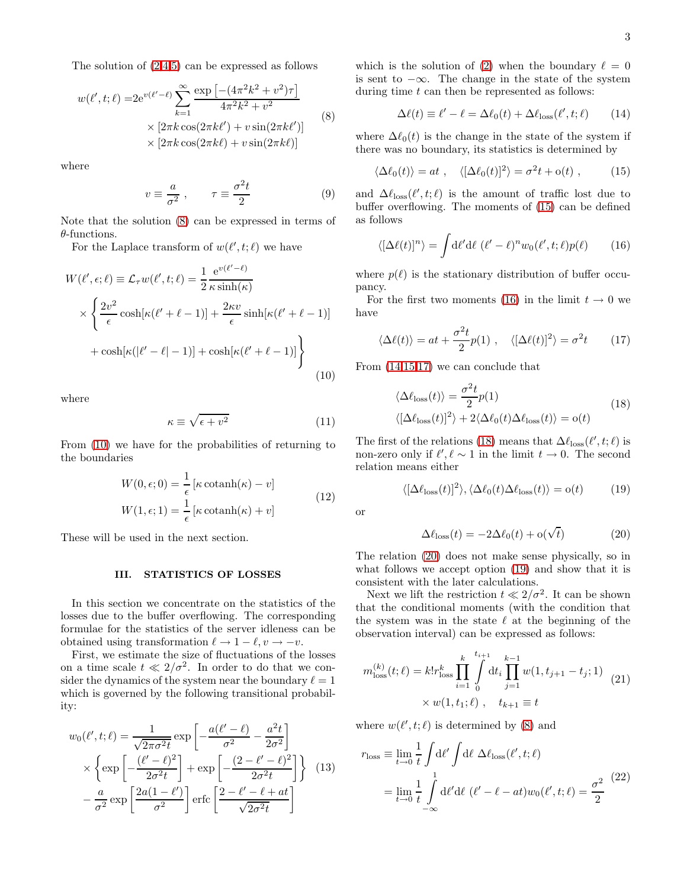The solution of  $(2,4,5)$  $(2,4,5)$  $(2,4,5)$  can be expressed as follows

<span id="page-2-0"></span>
$$
w(\ell', t; \ell) = 2e^{v(\ell' - \ell)} \sum_{k=1}^{\infty} \frac{\exp\left[-(4\pi^2 k^2 + v^2)\tau\right]}{4\pi^2 k^2 + v^2}
$$
  
×  $[2\pi k \cos(2\pi k\ell') + v \sin(2\pi k\ell')]$   
×  $[2\pi k \cos(2\pi k\ell) + v \sin(2\pi k\ell)]$  (8)

where

<span id="page-2-9"></span>
$$
v \equiv \frac{a}{\sigma^2} , \qquad \tau \equiv \frac{\sigma^2 t}{2} \tag{9}
$$

Note that the solution [\(8\)](#page-2-0) can be expressed in terms of  $\theta$ -functions.

For the Laplace transform of  $w(\ell', t; \ell)$  we have

<span id="page-2-1"></span>
$$
W(\ell', \epsilon; \ell) \equiv \mathcal{L}_{\tau} w(\ell', t; \ell) = \frac{1}{2} \frac{e^{v(\ell'-\ell)}}{\kappa \sinh(\kappa)}
$$

$$
\times \left\{ \frac{2v^2}{\epsilon} \cosh[\kappa(\ell'+\ell-1)] + \frac{2\kappa v}{\epsilon} \sinh[\kappa(\ell'+\ell-1)] + \cosh[\kappa(\ell'+\ell-1)] \right\}
$$

$$
+ \cosh[\kappa(|\ell'-\ell|-1)] + \cosh[\kappa(\ell'+\ell-1)] \right\}
$$
(10)

where

$$
\kappa \equiv \sqrt{\epsilon + v^2} \tag{11}
$$

From [\(10\)](#page-2-1) we have for the probabilities of returning to the boundaries

$$
W(0, \epsilon; 0) = \frac{1}{\epsilon} \left[ \kappa \cosh(\kappa) - v \right]
$$
  

$$
W(1, \epsilon; 1) = \frac{1}{\epsilon} \left[ \kappa \cosh(\kappa) + v \right]
$$
 (12)

These will be used in the next section.

## III. STATISTICS OF LOSSES

In this section we concentrate on the statistics of the losses due to the buffer overflowing. The corresponding formulae for the statistics of the server idleness can be obtained using transformation  $\ell \to 1-\ell, v \to -v$ .

First, we estimate the size of fluctuations of the losses on a time scale  $t \ll 2/\sigma^2$ . In order to do that we consider the dynamics of the system near the boundary  $\ell = 1$ which is governed by the following transitional probability:

$$
w_0(\ell', t; \ell) = \frac{1}{\sqrt{2\pi\sigma^2 t}} \exp\left[-\frac{a(\ell'-\ell)}{\sigma^2} - \frac{a^2 t}{2\sigma^2}\right] \times \left\{\exp\left[-\frac{(\ell'-\ell)^2}{2\sigma^2 t}\right] + \exp\left[-\frac{(2-\ell'-\ell)^2}{2\sigma^2 t}\right]\right\} (13) - \frac{a}{\sigma^2} \exp\left[\frac{2a(1-\ell')}{\sigma^2}\right] \text{erfc}\left[\frac{2-\ell'-\ell+a t}{\sqrt{2\sigma^2 t}}\right]
$$

which is the solution of [\(2\)](#page-1-2) when the boundary  $\ell = 0$ is sent to −∞. The change in the state of the system during time  $t$  can then be represented as follows:

<span id="page-2-4"></span>
$$
\Delta \ell(t) \equiv \ell' - \ell = \Delta \ell_0(t) + \Delta \ell_{\text{loss}}(\ell', t; \ell) \tag{14}
$$

where  $\Delta \ell_0(t)$  is the change in the state of the system if there was no boundary, its statistics is determined by

<span id="page-2-2"></span>
$$
\langle \Delta \ell_0(t) \rangle = at \ , \quad \langle [\Delta \ell_0(t)]^2 \rangle = \sigma^2 t + o(t) \ , \tag{15}
$$

and  $\Delta \ell_{\text{loss}}(\ell', t; \ell)$  is the amount of traffic lost due to buffer overflowing. The moments of [\(15\)](#page-2-2) can be defined as follows

<span id="page-2-3"></span>
$$
\langle [\Delta \ell(t)]^n \rangle = \int d\ell' d\ell \, (\ell' - \ell)^n w_0(\ell', t; \ell) p(\ell) \qquad (16)
$$

where  $p(\ell)$  is the stationary distribution of buffer occupancy.

For the first two moments [\(16\)](#page-2-3) in the limit  $t \to 0$  we have

<span id="page-2-5"></span>
$$
\langle \Delta \ell(t) \rangle = at + \frac{\sigma^2 t}{2} p(1) , \quad \langle [\Delta \ell(t)]^2 \rangle = \sigma^2 t \qquad (17)
$$

From [\(14,](#page-2-4)[15](#page-2-2)[,17\)](#page-2-5) we can conclude that

$$
\langle \Delta \ell_{\rm loss}(t) \rangle = \frac{\sigma^2 t}{2} p(1)
$$
  

$$
\langle [\Delta \ell_{\rm loss}(t)]^2 \rangle + 2 \langle \Delta \ell_0(t) \Delta \ell_{\rm loss}(t) \rangle = o(t)
$$
 (18)

<span id="page-2-6"></span>The first of the relations [\(18\)](#page-2-6) means that  $\Delta \ell_{\mathrm{loss}}(\ell',t;\ell)$  is non-zero only if  $\ell', \ell \sim 1$  in the limit  $t \to 0$ . The second relation means either

<span id="page-2-8"></span>
$$
\langle [\Delta \ell_{\rm loss}(t)]^2 \rangle, \langle \Delta \ell_0(t) \Delta \ell_{\rm loss}(t) \rangle = o(t) \tag{19}
$$

or

<span id="page-2-7"></span>
$$
\Delta \ell_{\rm loss}(t) = -2\Delta \ell_0(t) + \mathcal{o}(\sqrt{t})
$$
\n(20)

The relation [\(20\)](#page-2-7) does not make sense physically, so in what follows we accept option [\(19\)](#page-2-8) and show that it is consistent with the later calculations.

Next we lift the restriction  $t \ll 2/\sigma^2$ . It can be shown that the conditional moments (with the condition that the system was in the state  $\ell$  at the beginning of the observation interval) can be expressed as follows:

$$
m_{\text{loss}}^{(k)}(t;\ell) = k! r_{\text{loss}}^k \prod_{i=1}^k \int_0^{t_{i+1}} dt_i \prod_{j=1}^{k-1} w(1, t_{j+1} - t_j; 1) \quad (21)
$$

$$
\times w(1, t_1; \ell) \ , \quad t_{k+1} \equiv t
$$

where  $w(\ell', t; \ell)$  is determined by [\(8\)](#page-2-0) and

<span id="page-2-10"></span>
$$
r_{\text{loss}} \equiv \lim_{t \to 0} \frac{1}{t} \int d\ell' \int d\ell \ \Delta \ell_{\text{loss}}(\ell', t; \ell)
$$

$$
= \lim_{t \to 0} \frac{1}{t} \int_{-\infty}^{1} d\ell' d\ell \ (\ell' - \ell - at) w_0(\ell', t; \ell) = \frac{\sigma^2}{2} \tag{22}
$$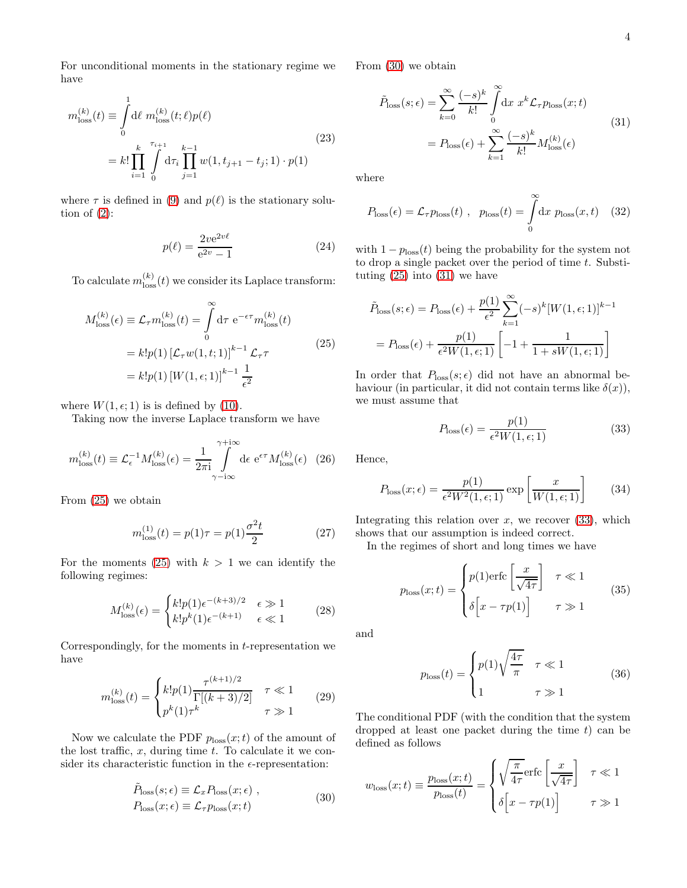For unconditional moments in the stationary regime we have

<span id="page-3-4"></span>
$$
m_{\text{loss}}^{(k)}(t) \equiv \int_0^1 \mathrm{d}\ell \ m_{\text{loss}}^{(k)}(t;\ell) p(\ell) = k! \prod_{i=1}^k \int_0^{\tau_{i+1}} \mathrm{d}\tau_i \prod_{j=1}^{k-1} w(1, t_{j+1} - t_j; 1) \cdot p(1)
$$
(23)

where  $\tau$  is defined in [\(9\)](#page-2-9) and  $p(\ell)$  is the stationary solution of  $(2)$ :

$$
p(\ell) = \frac{2v e^{2v\ell}}{e^{2v} - 1}
$$
\n
$$
(24)
$$

To calculate  $m_{\text{loss}}^{(k)}(t)$  we consider its Laplace transform:

<span id="page-3-0"></span>
$$
M_{\text{loss}}^{(k)}(\epsilon) \equiv \mathcal{L}_{\tau} m_{\text{loss}}^{(k)}(t) = \int_{0}^{\infty} d\tau \ e^{-\epsilon \tau} m_{\text{loss}}^{(k)}(t)
$$

$$
= k!p(1) \left[ \mathcal{L}_{\tau} w(1, t; 1) \right]^{k-1} \mathcal{L}_{\tau} \tau
$$

$$
= k!p(1) \left[ W(1, \epsilon; 1) \right]^{k-1} \frac{1}{\epsilon^2}
$$
(25)

where  $W(1, \epsilon; 1)$  is is defined by [\(10\)](#page-2-1).

Taking now the inverse Laplace transform we have

$$
m_{\mathrm{loss}}^{(k)}(t) \equiv \mathcal{L}_{\epsilon}^{-1} M_{\mathrm{loss}}^{(k)}(\epsilon) = \frac{1}{2\pi i} \int_{\gamma - i\infty}^{\gamma + i\infty} d\epsilon \ e^{\epsilon \tau} M_{\mathrm{loss}}^{(k)}(\epsilon) \tag{26}
$$

From [\(25\)](#page-3-0) we obtain

$$
m_{\text{loss}}^{(1)}(t) = p(1)\tau = p(1)\frac{\sigma^2 t}{2}
$$
 (27)

For the moments [\(25\)](#page-3-0) with  $k > 1$  we can identify the following regimes:

$$
M_{\mathrm{loss}}^{(k)}(\epsilon) = \begin{cases} k!p(1)\epsilon^{-(k+3)/2} & \epsilon \gg 1\\ k!p^k(1)\epsilon^{-(k+1)} & \epsilon \ll 1 \end{cases}
$$
 (28)

Correspondingly, for the moments in t-representation we have

$$
m_{\text{loss}}^{(k)}(t) = \begin{cases} k!p(1)\frac{\tau^{(k+1)/2}}{\Gamma[(k+3)/2]} & \tau \ll 1\\ p^k(1)\tau^k & \tau \gg 1 \end{cases} \tag{29}
$$

<span id="page-3-1"></span>Now we calculate the PDF  $p_{loss}(x;t)$  of the amount of the lost traffic,  $x$ , during time  $t$ . To calculate it we consider its characteristic function in the  $\epsilon$ -representation:

$$
\tilde{P}_{\text{loss}}(s; \epsilon) \equiv \mathcal{L}_x P_{\text{loss}}(x; \epsilon) ,
$$
\n
$$
P_{\text{loss}}(x; \epsilon) \equiv \mathcal{L}_\tau p_{\text{loss}}(x; t) .
$$
\n(30)

From [\(30\)](#page-3-1) we obtain

<span id="page-3-2"></span>
$$
\tilde{P}_{\text{loss}}(s; \epsilon) = \sum_{k=0}^{\infty} \frac{(-s)^k}{k!} \int_0^{\infty} dx \ x^k \mathcal{L}_{\tau} p_{\text{loss}}(x; t)
$$
\n
$$
= P_{\text{loss}}(\epsilon) + \sum_{k=1}^{\infty} \frac{(-s)^k}{k!} M_{\text{loss}}^{(k)}(\epsilon)
$$
\n(31)

where

$$
P_{\text{loss}}(\epsilon) = \mathcal{L}_{\tau} p_{\text{loss}}(t) , \quad p_{\text{loss}}(t) = \int_{0}^{\infty} dx \ p_{\text{loss}}(x, t) \quad (32)
$$

with  $1 - p_{loss}(t)$  being the probability for the system not to drop a single packet over the period of time  $t$ . Substituting  $(25)$  into  $(31)$  we have

$$
\tilde{P}_{\text{loss}}(s; \epsilon) = P_{\text{loss}}(\epsilon) + \frac{p(1)}{\epsilon^2} \sum_{k=1}^{\infty} (-s)^k [W(1, \epsilon; 1)]^{k-1}
$$
\n
$$
= P_{\text{loss}}(\epsilon) + \frac{p(1)}{\epsilon^2 W(1, \epsilon; 1)} \left[ -1 + \frac{1}{1 + sW(1, \epsilon; 1)} \right]
$$

In order that  $P_{\text{loss}}(s; \epsilon)$  did not have an abnormal behaviour (in particular, it did not contain terms like  $\delta(x)$ ), we must assume that

<span id="page-3-3"></span>
$$
P_{\text{loss}}(\epsilon) = \frac{p(1)}{\epsilon^2 W(1, \epsilon; 1)}
$$
\n(33)

Hence,

$$
P_{\text{loss}}(x;\epsilon) = \frac{p(1)}{\epsilon^2 W^2(1,\epsilon;1)} \exp\left[\frac{x}{W(1,\epsilon;1)}\right] \tag{34}
$$

Integrating this relation over  $x$ , we recover [\(33\)](#page-3-3), which shows that our assumption is indeed correct.

In the regimes of short and long times we have

$$
p_{\text{loss}}(x;t) = \begin{cases} p(1)\text{erfc}\left[\frac{x}{\sqrt{4\tau}}\right] & \tau \ll 1\\ \delta\left[x - \tau p(1)\right] & \tau \gg 1 \end{cases}
$$
(35)

and

$$
p_{\text{loss}}(t) = \begin{cases} p(1)\sqrt{\frac{4\tau}{\pi}} & \tau \ll 1\\ 1 & \tau \gg 1 \end{cases} \tag{36}
$$

The conditional PDF (with the condition that the system dropped at least one packet during the time  $t$ ) can be defined as follows

$$
w_{\text{loss}}(x;t) \equiv \frac{p_{\text{loss}}(x;t)}{p_{\text{loss}}(t)} = \begin{cases} \sqrt{\frac{\pi}{4\tau}} \text{erfc}\left[\frac{x}{\sqrt{4\tau}}\right] & \tau \ll 1\\ \delta\left[x - \tau p(1)\right] & \tau \gg 1 \end{cases}
$$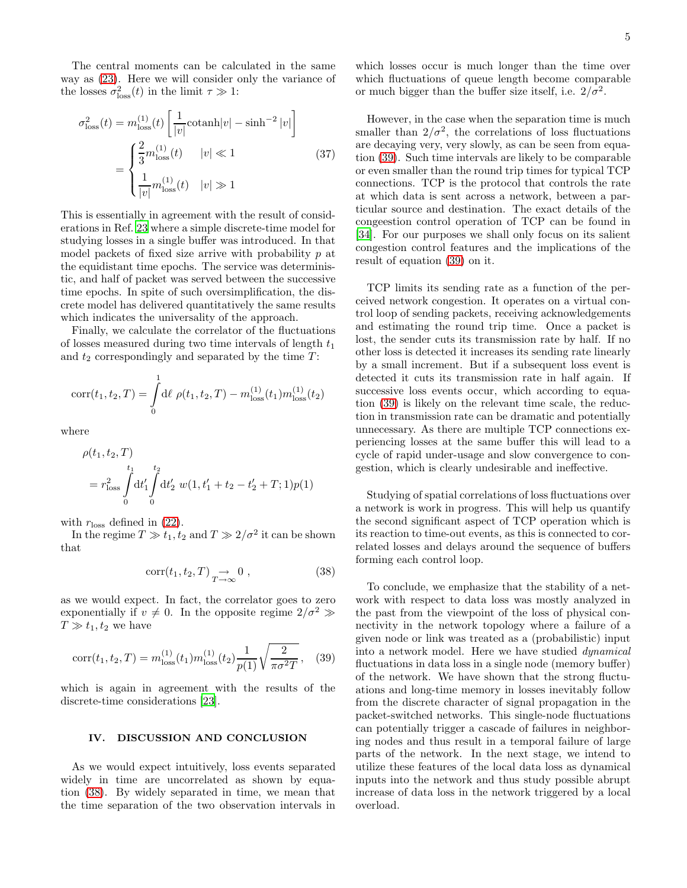The central moments can be calculated in the same way as [\(23\)](#page-3-4). Here we will consider only the variance of the losses  $\sigma_{\text{loss}}^2(t)$  in the limit  $\tau \gg 1$ :

$$
\sigma_{\text{loss}}^2(t) = m_{\text{loss}}^{(1)}(t) \left[ \frac{1}{|v|} \text{cotanh}|v| - \sinh^{-2} |v| \right]
$$

$$
= \begin{cases} \frac{2}{3} m_{\text{loss}}^{(1)}(t) & |v| \ll 1 \\ \frac{1}{|v|} m_{\text{loss}}^{(1)}(t) & |v| \gg 1 \end{cases}
$$
(37)

This is essentially in agreement with the result of considerations in Ref. [23](#page-5-26) where a simple discrete-time model for studying losses in a single buffer was introduced. In that model packets of fixed size arrive with probability  $p$  at the equidistant time epochs. The service was deterministic, and half of packet was served between the successive time epochs. In spite of such oversimplification, the discrete model has delivered quantitatively the same results which indicates the universality of the approach.

Finally, we calculate the correlator of the fluctuations of losses measured during two time intervals of length  $t_1$ and  $t_2$  correspondingly and separated by the time  $T$ :

$$
corr(t_1, t_2, T) = \int_0^1 d\ell \, \rho(t_1, t_2, T) - m_{\text{loss}}^{(1)}(t_1) m_{\text{loss}}^{(1)}(t_2)
$$

where

$$
\rho(t_1, t_2, T)
$$
  
=  $r_{\text{loss}}^2 \int_0^{t_1} dt'_1 \int_0^{t_2} dt'_2 w(1, t'_1 + t_2 - t'_2 + T; 1)p(1)$ 

with  $r_{\text{loss}}$  defined in [\(22\)](#page-2-10).

In the regime  $T \gg t_1, t_2$  and  $T \gg 2/\sigma^2$  it can be shown that

<span id="page-4-0"></span>
$$
corr(t_1, t_2, T) \underset{T \to \infty}{\to} 0 , \qquad (38)
$$

as we would expect. In fact, the correlator goes to zero exponentially if  $v \neq 0$ . In the opposite regime  $2/\sigma^2 \gg$  $T \gg t_1, t_2$  we have

<span id="page-4-1"></span>
$$
corr(t_1, t_2, T) = m_{\text{loss}}^{(1)}(t_1) m_{\text{loss}}^{(1)}(t_2) \frac{1}{p(1)} \sqrt{\frac{2}{\pi \sigma^2 T}}, \quad (39)
$$

which is again in agreement with the results of the discrete-time considerations [\[23\]](#page-5-26).

## IV. DISCUSSION AND CONCLUSION

As we would expect intuitively, loss events separated widely in time are uncorrelated as shown by equation [\(38\)](#page-4-0). By widely separated in time, we mean that the time separation of the two observation intervals in which losses occur is much longer than the time over which fluctuations of queue length become comparable or much bigger than the buffer size itself, i.e.  $2/\sigma^2$ .

However, in the case when the separation time is much smaller than  $2/\sigma^2$ , the correlations of loss fluctuations are decaying very, very slowly, as can be seen from equation [\(39\)](#page-4-1). Such time intervals are likely to be comparable or even smaller than the round trip times for typical TCP connections. TCP is the protocol that controls the rate at which data is sent across a network, between a particular source and destination. The exact details of the congeestion control operation of TCP can be found in [\[34\]](#page-5-33). For our purposes we shall only focus on its salient congestion control features and the implications of the result of equation [\(39\)](#page-4-1) on it.

TCP limits its sending rate as a function of the perceived network congestion. It operates on a virtual control loop of sending packets, receiving acknowledgements and estimating the round trip time. Once a packet is lost, the sender cuts its transmission rate by half. If no other loss is detected it increases its sending rate linearly by a small increment. But if a subsequent loss event is detected it cuts its transmission rate in half again. If successive loss events occur, which according to equation [\(39\)](#page-4-1) is likely on the relevant time scale, the reduction in transmission rate can be dramatic and potentially unnecessary. As there are multiple TCP connections experiencing losses at the same buffer this will lead to a cycle of rapid under-usage and slow convergence to congestion, which is clearly undesirable and ineffective.

Studying of spatial correlations of loss fluctuations over a network is work in progress. This will help us quantify the second significant aspect of TCP operation which is its reaction to time-out events, as this is connected to correlated losses and delays around the sequence of buffers forming each control loop.

To conclude, we emphasize that the stability of a network with respect to data loss was mostly analyzed in the past from the viewpoint of the loss of physical connectivity in the network topology where a failure of a given node or link was treated as a (probabilistic) input into a network model. Here we have studied dynamical fluctuations in data loss in a single node (memory buffer) of the network. We have shown that the strong fluctuations and long-time memory in losses inevitably follow from the discrete character of signal propagation in the packet-switched networks. This single-node fluctuations can potentially trigger a cascade of failures in neighboring nodes and thus result in a temporal failure of large parts of the network. In the next stage, we intend to utilize these features of the local data loss as dynamical inputs into the network and thus study possible abrupt increase of data loss in the network triggered by a local overload.